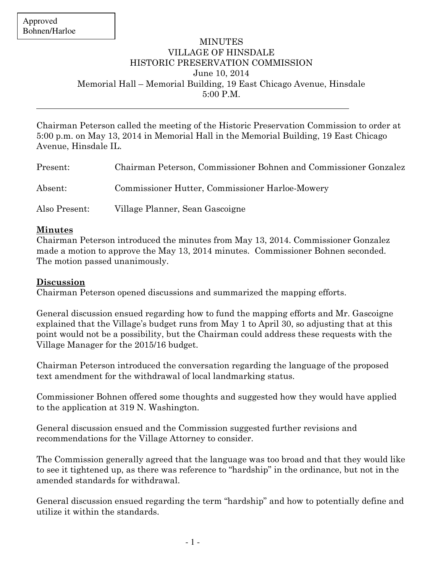## **MINUTES** VILLAGE OF HINSDALE HISTORIC PRESERVATION COMMISSION June 10, 2014 Memorial Hall – Memorial Building, 19 East Chicago Avenue, Hinsdale 5:00 P.M.

Chairman Peterson called the meeting of the Historic Preservation Commission to order at 5:00 p.m. on May 13, 2014 in Memorial Hall in the Memorial Building, 19 East Chicago Avenue, Hinsdale IL.

| Present:      | Chairman Peterson, Commissioner Bohnen and Commissioner Gonzalez |
|---------------|------------------------------------------------------------------|
| Absent:       | Commissioner Hutter, Commissioner Harloe-Mowery                  |
| Also Present: | Village Planner, Sean Gascoigne                                  |

## **Minutes**

Chairman Peterson introduced the minutes from May 13, 2014. Commissioner Gonzalez made a motion to approve the May 13, 2014 minutes. Commissioner Bohnen seconded. The motion passed unanimously.

## **Discussion**

Chairman Peterson opened discussions and summarized the mapping efforts.

General discussion ensued regarding how to fund the mapping efforts and Mr. Gascoigne explained that the Village's budget runs from May 1 to April 30, so adjusting that at this point would not be a possibility, but the Chairman could address these requests with the Village Manager for the 2015/16 budget.

Chairman Peterson introduced the conversation regarding the language of the proposed text amendment for the withdrawal of local landmarking status.

Commissioner Bohnen offered some thoughts and suggested how they would have applied to the application at 319 N. Washington.

General discussion ensued and the Commission suggested further revisions and recommendations for the Village Attorney to consider.

The Commission generally agreed that the language was too broad and that they would like to see it tightened up, as there was reference to "hardship" in the ordinance, but not in the amended standards for withdrawal.

General discussion ensued regarding the term "hardship" and how to potentially define and utilize it within the standards.